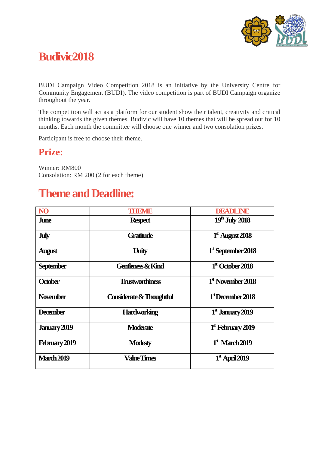

## **Budivic2018**

BUDI Campaign Video Competition 2018 is an initiative by the University Centre for Community Engagement (BUDI). The video competition is part of BUDI Campaign organize throughout the year.

The competition will act as a platform for our student show their talent, creativity and critical thinking towards the given themes. Budivic will have 10 themes that will be spread out for 10 months. Each month the committee will choose one winner and two consolation prizes.

Participant is free to choose their theme.

### **Prize:**

Winner: RM800 Consolation: RM 200 (2 for each theme)

## **Theme and Deadline:**

| NO <sub>1</sub>   | THEIMIE                      | <b>DEADLINE</b>               |
|-------------------|------------------------------|-------------------------------|
| <b>June</b>       | <b>Respect</b>               | $19th$ July 2018              |
| <b>July</b>       | <b>Gratitude</b>             | $1st$ August 2018             |
| <b>August</b>     | <b>Unity</b>                 | $1st$ September 2018          |
| <b>September</b>  | <b>Gentleness &amp; Kind</b> | $1st$ October 2018            |
| <b>October</b>    | <b>Trustworthiness</b>       | $1st$ November 2018           |
| <b>November</b>   | Considerate & Thoughtful     | $1st$ December 2018           |
| <b>December</b>   | <b>Hardworking</b>           | $1st$ January 2019            |
| January 2019      | <b>Moderate</b>              | 1 <sup>st</sup> February 2019 |
| February 2019     | <b>Modesty</b>               | $1st$ March 2019              |
| <b>March 2019</b> | <b>Value Times</b>           | $1st$ April 2019              |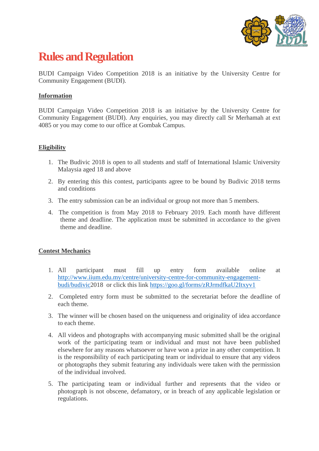

# **Rules and Regulation**

BUDI Campaign Video Competition 2018 is an initiative by the University Centre for Community Engagement (BUDI).

#### **Information**

BUDI Campaign Video Competition 2018 is an initiative by the University Centre for Community Engagement (BUDI). Any enquiries, you may directly call Sr Merhamah at ext 4085 or you may come to our office at Gombak Campus.

#### **Eligibility**

- 1. The Budivic 2018 is open to all students and staff of International Islamic University Malaysia aged 18 and above
- 2. By entering this this contest, participants agree to be bound by Budivic 2018 terms and conditions
- 3. The entry submission can be an individual or group not more than 5 members.
- 4. The competition is from May 2018 to February 2019. Each month have different theme and deadline. The application must be submitted in accordance to the given theme and deadline.

#### **Contest Mechanics**

- 1. All participant must fill up entry form available online at [http://www.iium.edu.my/centre/university-centre-for-community-engagement](http://www.iium.edu.my/centre/university-centre-for-community-engagement-budi/budivic)[budi/budivic2](http://www.iium.edu.my/centre/university-centre-for-community-engagement-budi/budivic)018 or click this link<https://goo.gl/forms/zRJrmdfkaU2Itxyv1>
- 2. Completed entry form must be submitted to the secretariat before the deadline of each theme.
- 3. The winner will be chosen based on the uniqueness and originality of idea accordance to each theme.
- 4. All videos and photographs with accompanying music submitted shall be the original work of the participating team or individual and must not have been published elsewhere for any reasons whatsoever or have won a prize in any other competition. It is the responsibility of each participating team or individual to ensure that any videos or photographs they submit featuring any individuals were taken with the permission of the individual involved.
- 5. The participating team or individual further and represents that the video or photograph is not obscene, defamatory, or in breach of any applicable legislation or regulations.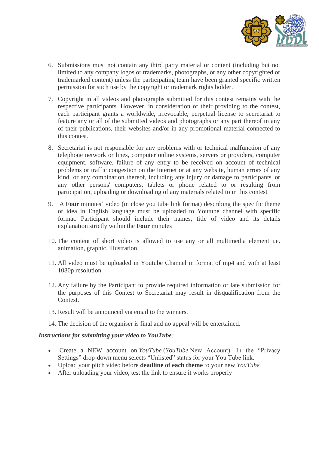

- 6. Submissions must not contain any third party material or content (including but not limited to any company logos or trademarks, photographs, or any other copyrighted or trademarked content) unless the participating team have been granted specific written permission for such use by the copyright or trademark rights holder.
- 7. Copyright in all videos and photographs submitted for this contest remains with the respective participants. However, in consideration of their providing to the contest, each participant grants a worldwide, irrevocable, perpetual license to secretariat to feature any or all of the submitted videos and photographs or any part thereof in any of their publications, their websites and/or in any promotional material connected to this contest.
- 8. Secretariat is not responsible for any problems with or technical malfunction of any telephone network or lines, computer online systems, servers or providers, computer equipment, software, failure of any entry to be received on account of technical problems or traffic congestion on the Internet or at any website, human errors of any kind, or any combination thereof, including any injury or damage to participants' or any other persons' computers, tablets or phone related to or resulting from participation, uploading or downloading of any materials related to in this contest
- 9. A **Four** minutes' video (in close you tube link format) describing the specific theme or idea in English language must be uploaded to Youtube channel with specific format. Participant should include their names, title of video and its details explanation strictly within the **Four** minutes
- 10. The content of short video is allowed to use any or all multimedia element i.e. animation, graphic, illustration.
- 11. All video must be uploaded in Youtube Channel in format of mp4 and with at least 1080p resolution.
- 12. Any failure by the Participant to provide required information or late submission for the purposes of this Contest to Secretariat may result in disqualification from the Contest.
- 13. Result will be announced via email to the winners.
- 14. The decision of the organiser is final and no appeal will be entertained.

#### *Instructions for submitting your video to YouTube:*

- Create a NEW account on *YouTube* (*YouTube* New Account). In the "Privacy Settings" drop-down menu selects "Unlisted" status for your You Tube link.
- Upload your pitch video before **deadline of each theme** to your new *YouTube*
- After uploading your video, test the link to ensure it works properly